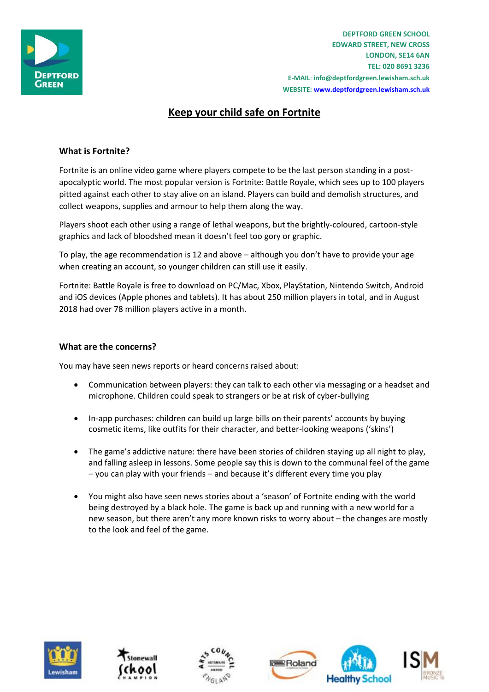

**DEPTFORD GREEN SCHOOL EDWARD STREET, NEW CROSS LONDON, SE14 6AN TEL: 020 8691 3236 E-MAIL**: **info@deptfordgreen.lewisham.sch.uk WEBSITE: www.deptfordgreen.lewisham.sch.uk**

# **Keep your child safe on Fortnite**

# **What is Fortnite?**

Fortnite is an online video game where players compete to be the last person standing in a postapocalyptic world. The most popular version is Fortnite: Battle Royale, which sees up to 100 players pitted against each other to stay alive on an island. Players can build and demolish structures, and collect weapons, supplies and armour to help them along the way.

Players shoot each other using a range of lethal weapons, but the brightly-coloured, cartoon-style graphics and lack of bloodshed mean it doesn't feel too gory or graphic.

To play, the age recommendation is 12 and above – although you don't have to provide your age when creating an account, so younger children can still use it easily.

Fortnite: Battle Royale is free to download on PC/Mac, Xbox, PlayStation, Nintendo Switch, Android and iOS devices (Apple phones and tablets). It has about 250 million players in total, and in August 2018 had over 78 million players active in a month.

#### **What are the concerns?**

You may have seen news reports or heard concerns raised about:

- Communication between players: they can talk to each other via messaging or a headset and microphone. Children could speak to strangers or be at risk of cyber-bullying
- In-app purchases: children can build up large bills on their parents' accounts by buying cosmetic items, like outfits for their character, and better-looking weapons ('skins')
- The game's addictive nature: there have been stories of children staying up all night to play, and falling asleep in lessons. Some people say this is down to the communal feel of the game – you can play with your friends – and because it's different every time you play
- You might also have seen news stories about a 'season' of Fortnite ending with the world being destroyed by a black hole. The game is back up and running with a new world for a new season, but there aren't any more known risks to worry about – the changes are mostly to the look and feel of the game.







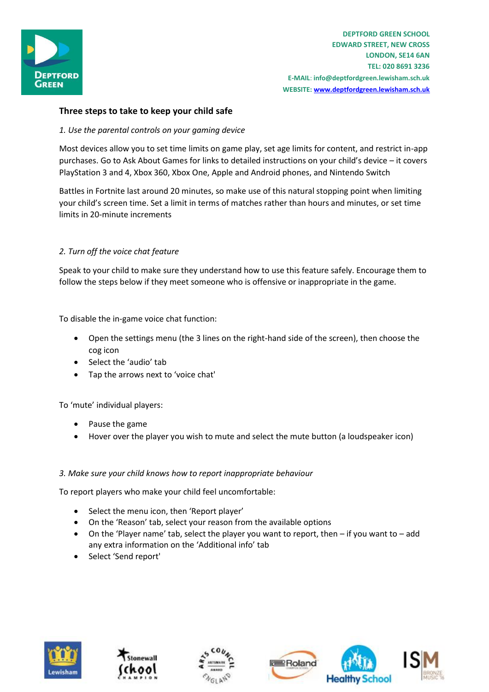

**DEPTFORD GREEN SCHOOL EDWARD STREET, NEW CROSS LONDON, SE14 6AN TEL: 020 8691 3236 E-MAIL**: **info@deptfordgreen.lewisham.sch.uk WEBSITE: www.deptfordgreen.lewisham.sch.uk**

## **Three steps to take to keep your child safe**

#### *1. Use the parental controls on your gaming device*

Most devices allow you to set time limits on game play, set age limits for content, and restrict in-app purchases. Go to Ask About Games for links to detailed instructions on your child's device – it covers PlayStation 3 and 4, Xbox 360, Xbox One, Apple and Android phones, and Nintendo Switch

Battles in Fortnite last around 20 minutes, so make use of this natural stopping point when limiting your child's screen time. Set a limit in terms of matches rather than hours and minutes, or set time limits in 20-minute increments

#### *2. Turn off the voice chat feature*

Speak to your child to make sure they understand how to use this feature safely. Encourage them to follow the steps below if they meet someone who is offensive or inappropriate in the game.

To disable the in-game voice chat function:

- Open the settings menu (the 3 lines on the right-hand side of the screen), then choose the cog icon
- Select the 'audio' tab
- Tap the arrows next to 'voice chat'

To 'mute' individual players:

- Pause the game
- Hover over the player you wish to mute and select the mute button (a loudspeaker icon)

#### *3. Make sure your child knows how to report inappropriate behaviour*

To report players who make your child feel uncomfortable:

- Select the menu icon, then 'Report player'
- On the 'Reason' tab, select your reason from the available options
- On the 'Player name' tab, select the player you want to report, then if you want to add any extra information on the 'Additional info' tab
- Select 'Send report'